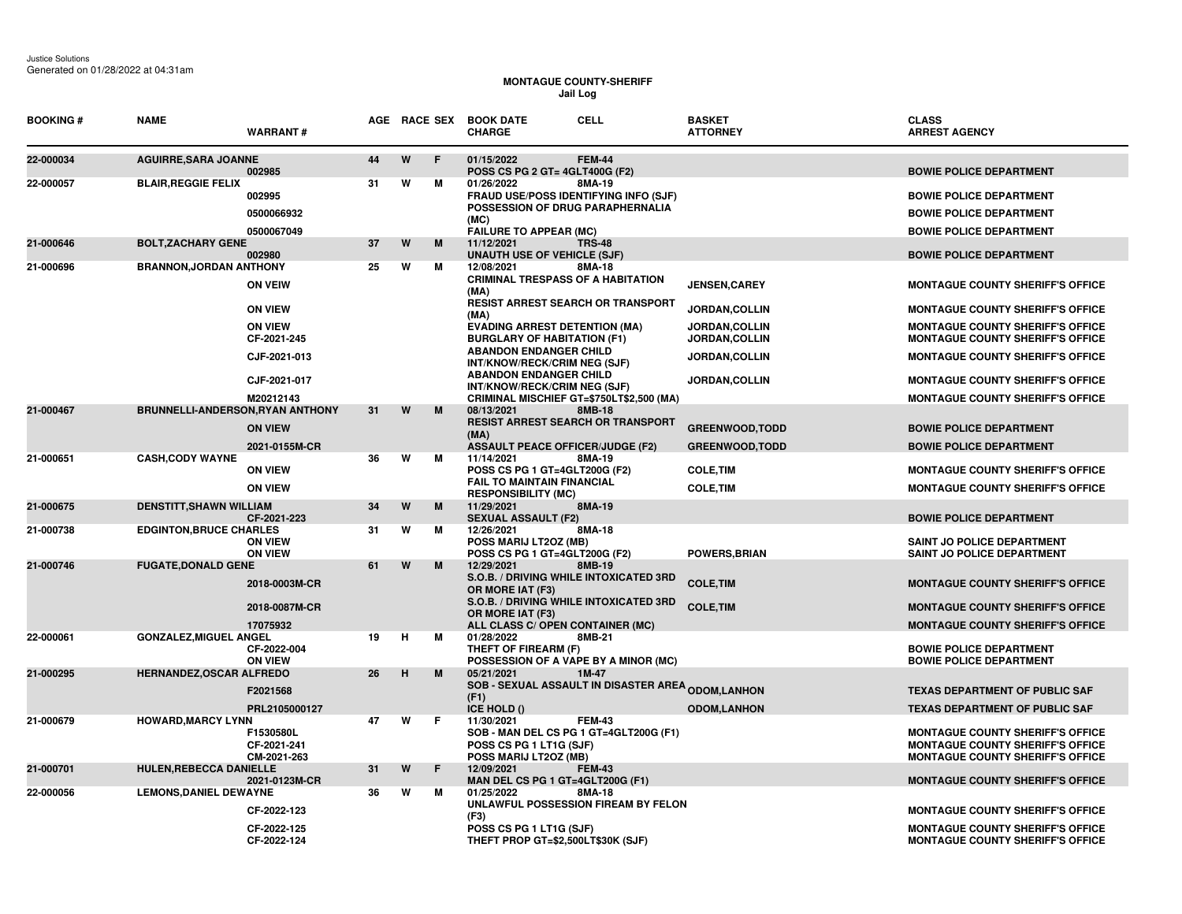## **MONTAGUE COUNTY-SHERIFF Jail Log**

| <b>BOOKING#</b> | <b>NAME</b>                      | <b>WARRANT#</b>                           |    |   |    | AGE RACE SEX BOOK DATE<br><b>CELL</b><br><b>CHARGE</b>                                                                               | <b>BASKET</b>    | <b>ATTORNEY</b>                              | <b>CLASS</b><br><b>ARREST AGENCY</b>                                                                                          |
|-----------------|----------------------------------|-------------------------------------------|----|---|----|--------------------------------------------------------------------------------------------------------------------------------------|------------------|----------------------------------------------|-------------------------------------------------------------------------------------------------------------------------------|
| 22-000034       | <b>AGUIRRE, SARA JOANNE</b>      | 002985                                    | 44 | W | E  | 01/15/2022<br><b>FEM-44</b><br>POSS CS PG 2 GT= 4GLT400G (F2)                                                                        |                  |                                              | <b>BOWIE POLICE DEPARTMENT</b>                                                                                                |
| 22-000057       | <b>BLAIR, REGGIE FELIX</b>       | 002995<br>0500066932                      | 31 | W | м  | 01/26/2022<br>8MA-19<br>FRAUD USE/POSS IDENTIFYING INFO (SJF)<br>POSSESSION OF DRUG PARAPHERNALIA<br>(MC)                            |                  |                                              | <b>BOWIE POLICE DEPARTMENT</b><br><b>BOWIE POLICE DEPARTMENT</b>                                                              |
| 21-000646       | <b>BOLT, ZACHARY GENE</b>        | 0500067049                                | 37 | W | M  | <b>FAILURE TO APPEAR (MC)</b><br>11/12/2021<br><b>TRS-48</b>                                                                         |                  |                                              | <b>BOWIE POLICE DEPARTMENT</b>                                                                                                |
| 21-000696       | <b>BRANNON, JORDAN ANTHONY</b>   | 002980                                    | 25 | W | м  | <b>UNAUTH USE OF VEHICLE (SJF)</b><br>12/08/2021<br>8MA-18                                                                           |                  |                                              | <b>BOWIE POLICE DEPARTMENT</b>                                                                                                |
|                 |                                  | <b>ON VEIW</b>                            |    |   |    | <b>CRIMINAL TRESPASS OF A HABITATION</b><br>(MA)                                                                                     |                  | <b>JENSEN, CAREY</b>                         | <b>MONTAGUE COUNTY SHERIFF'S OFFICE</b>                                                                                       |
|                 |                                  | <b>ON VIEW</b>                            |    |   |    | <b>RESIST ARREST SEARCH OR TRANSPORT</b><br>(MA)                                                                                     |                  | <b>JORDAN,COLLIN</b>                         | <b>MONTAGUE COUNTY SHERIFF'S OFFICE</b>                                                                                       |
|                 |                                  | <b>ON VIEW</b><br>CF-2021-245             |    |   |    | <b>EVADING ARREST DETENTION (MA)</b><br><b>BURGLARY OF HABITATION (F1)</b>                                                           |                  | <b>JORDAN,COLLIN</b><br><b>JORDAN,COLLIN</b> | <b>MONTAGUE COUNTY SHERIFF'S OFFICE</b><br><b>MONTAGUE COUNTY SHERIFF'S OFFICE</b>                                            |
|                 |                                  | CJF-2021-013                              |    |   |    | <b>ABANDON ENDANGER CHILD</b><br>INT/KNOW/RECK/CRIM NEG (SJF)<br><b>ABANDON ENDANGER CHILD</b>                                       |                  | <b>JORDAN,COLLIN</b>                         | <b>MONTAGUE COUNTY SHERIFF'S OFFICE</b>                                                                                       |
|                 |                                  | CJF-2021-017                              |    |   |    | INT/KNOW/RECK/CRIM NEG (SJF)                                                                                                         |                  | <b>JORDAN,COLLIN</b>                         | <b>MONTAGUE COUNTY SHERIFF'S OFFICE</b>                                                                                       |
| 21-000467       | BRUNNELLI-ANDERSON, RYAN ANTHONY | M20212143                                 | 31 | W | M  | CRIMINAL MISCHIEF GT=\$750LT\$2,500 (MA)<br>8MB-18<br>08/13/2021                                                                     |                  |                                              | <b>MONTAGUE COUNTY SHERIFF'S OFFICE</b>                                                                                       |
|                 |                                  | <b>ON VIEW</b>                            |    |   |    | RESIST ARREST SEARCH OR TRANSPORT<br>(MA)                                                                                            |                  | <b>GREENWOOD, TODD</b>                       | <b>BOWIE POLICE DEPARTMENT</b>                                                                                                |
|                 |                                  | 2021-0155M-CR                             |    |   |    | <b>ASSAULT PEACE OFFICER/JUDGE (F2)</b>                                                                                              |                  | <b>GREENWOOD, TODD</b>                       | <b>BOWIE POLICE DEPARTMENT</b>                                                                                                |
| 21-000651       | <b>CASH, CODY WAYNE</b>          | <b>ON VIEW</b>                            | 36 | W | м  | 11/14/2021<br>8MA-19<br>POSS CS PG 1 GT=4GLT200G (F2)                                                                                | <b>COLE, TIM</b> |                                              | <b>MONTAGUE COUNTY SHERIFF'S OFFICE</b>                                                                                       |
|                 |                                  | <b>ON VIEW</b>                            |    |   |    | <b>FAIL TO MAINTAIN FINANCIAL</b><br><b>RESPONSIBILITY (MC)</b>                                                                      | <b>COLE, TIM</b> |                                              | <b>MONTAGUE COUNTY SHERIFF'S OFFICE</b>                                                                                       |
| 21-000675       | <b>DENSTITT, SHAWN WILLIAM</b>   | CF-2021-223                               | 34 | W | M  | 11/29/2021<br>8MA-19<br><b>SEXUAL ASSAULT (F2)</b>                                                                                   |                  |                                              | <b>BOWIE POLICE DEPARTMENT</b>                                                                                                |
| 21-000738       | <b>EDGINTON, BRUCE CHARLES</b>   | <b>ON VIEW</b><br><b>ON VIEW</b>          | 31 | W | м  | 12/26/2021<br>8MA-18<br>POSS MARIJ LT2OZ (MB)<br>POSS CS PG 1 GT=4GLT200G (F2)                                                       |                  | <b>POWERS, BRIAN</b>                         | SAINT JO POLICE DEPARTMENT<br>SAINT JO POLICE DEPARTMENT                                                                      |
| 21-000746       | <b>FUGATE, DONALD GENE</b>       |                                           | 61 | W | M  | 12/29/2021<br>8MB-19                                                                                                                 |                  |                                              |                                                                                                                               |
|                 |                                  | 2018-0003M-CR                             |    |   |    | S.O.B. / DRIVING WHILE INTOXICATED 3RD<br>OR MORE IAT (F3)<br>S.O.B. / DRIVING WHILE INTOXICATED 3RD                                 | <b>COLE, TIM</b> |                                              | <b>MONTAGUE COUNTY SHERIFF'S OFFICE</b>                                                                                       |
|                 |                                  | 2018-0087M-CR                             |    |   |    | OR MORE IAT (F3)                                                                                                                     | <b>COLE, TIM</b> |                                              | <b>MONTAGUE COUNTY SHERIFF'S OFFICE</b>                                                                                       |
| 22-000061       | <b>GONZALEZ, MIGUEL ANGEL</b>    | 17075932                                  | 19 | н | м  | ALL CLASS C/ OPEN CONTAINER (MC)<br>01/28/2022<br>8MB-21                                                                             |                  |                                              | <b>MONTAGUE COUNTY SHERIFF'S OFFICE</b>                                                                                       |
|                 |                                  | CF-2022-004<br><b>ON VIEW</b>             |    |   |    | THEFT OF FIREARM (F)<br>POSSESSION OF A VAPE BY A MINOR (MC)                                                                         |                  |                                              | <b>BOWIE POLICE DEPARTMENT</b><br><b>BOWIE POLICE DEPARTMENT</b>                                                              |
| 21-000295       | HERNANDEZ, OSCAR ALFREDO         | F2021568                                  | 26 | H | M  | 05/21/2021<br>1M-47<br>SOB - SEXUAL ASSAULT IN DISASTER AREA <sub>ODOM,LANHON</sub>                                                  |                  |                                              | <b>TEXAS DEPARTMENT OF PUBLIC SAF</b>                                                                                         |
|                 |                                  | PRL2105000127                             |    |   |    | (F1)<br>ICE HOLD ()                                                                                                                  |                  | <b>ODOM,LANHON</b>                           | <b>TEXAS DEPARTMENT OF PUBLIC SAF</b>                                                                                         |
| 21-000679       | <b>HOWARD, MARCY LYNN</b>        | F1530580L<br>CF-2021-241<br>CM-2021-263   | 47 | W | F. | 11/30/2021<br><b>FEM-43</b><br>SOB - MAN DEL CS PG 1 GT=4GLT200G (F1)<br>POSS CS PG 1 LT1G (SJF)<br>POSS MARIJ LT2OZ (MB)            |                  |                                              | <b>MONTAGUE COUNTY SHERIFF'S OFFICE</b><br><b>MONTAGUE COUNTY SHERIFF'S OFFICE</b><br><b>MONTAGUE COUNTY SHERIFF'S OFFICE</b> |
| 21-000701       | <b>HULEN, REBECCA DANIELLE</b>   | 2021-0123M-CR                             | 31 | W | F  | 12/09/2021<br><b>FEM-43</b><br>MAN DEL CS PG 1 GT=4GLT200G (F1)                                                                      |                  |                                              | <b>MONTAGUE COUNTY SHERIFF'S OFFICE</b>                                                                                       |
| 22-000056       | <b>LEMONS, DANIEL DEWAYNE</b>    | CF-2022-123<br>CF-2022-125<br>CF-2022-124 | 36 | W | м  | 01/25/2022<br>8MA-18<br>UNLAWFUL POSSESSION FIREAM BY FELON<br>(F3)<br>POSS CS PG 1 LT1G (SJF)<br>THEFT PROP GT=\$2,500LT\$30K (SJF) |                  |                                              | <b>MONTAGUE COUNTY SHERIFF'S OFFICE</b><br><b>MONTAGUE COUNTY SHERIFF'S OFFICE</b><br><b>MONTAGUE COUNTY SHERIFF'S OFFICE</b> |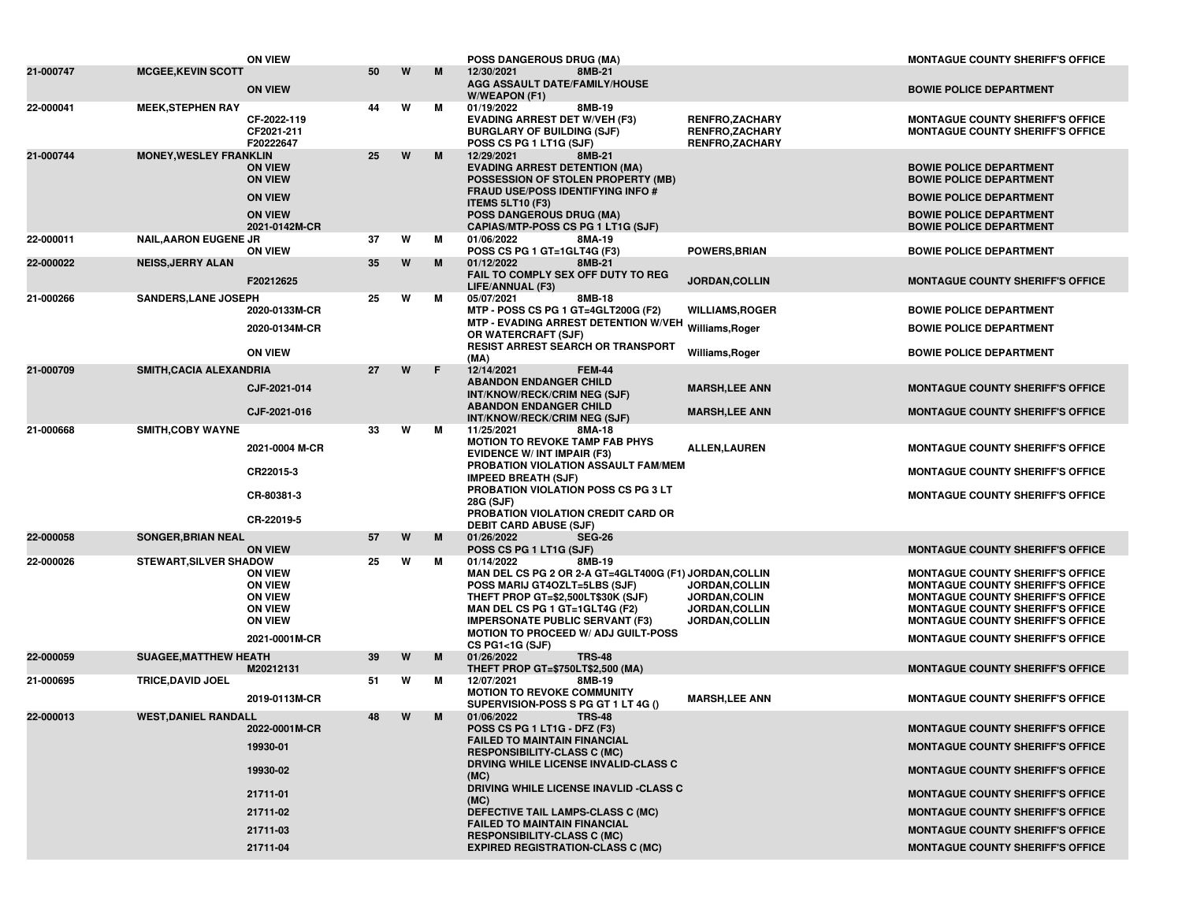|           |                               | <b>ON VIEW</b>                                                                                          |    |   |   | <b>POSS DANGEROUS DRUG (MA)</b>                                                                                                                                                                                                                                                                                                                                                                                                                 |                                                                                 | <b>MONTAGUE COUNTY SHERIFF'S OFFICE</b>                                                                                                                                                                                                                                                                   |
|-----------|-------------------------------|---------------------------------------------------------------------------------------------------------|----|---|---|-------------------------------------------------------------------------------------------------------------------------------------------------------------------------------------------------------------------------------------------------------------------------------------------------------------------------------------------------------------------------------------------------------------------------------------------------|---------------------------------------------------------------------------------|-----------------------------------------------------------------------------------------------------------------------------------------------------------------------------------------------------------------------------------------------------------------------------------------------------------|
| 21-000747 | <b>MCGEE, KEVIN SCOTT</b>     | <b>ON VIEW</b>                                                                                          | 50 | W | M | 12/30/2021<br>8MB-21<br><b>AGG ASSAULT DATE/FAMILY/HOUSE</b><br>W/WEAPON (F1)                                                                                                                                                                                                                                                                                                                                                                   |                                                                                 | <b>BOWIE POLICE DEPARTMENT</b>                                                                                                                                                                                                                                                                            |
| 22-000041 | <b>MEEK, STEPHEN RAY</b>      | CF-2022-119<br>CF2021-211<br>F20222647                                                                  | 44 | W | М | 8MB-19<br>01/19/2022<br><b>EVADING ARREST DET W/VEH (F3)</b><br><b>BURGLARY OF BUILDING (SJF)</b><br>POSS CS PG 1 LT1G (SJF)                                                                                                                                                                                                                                                                                                                    | RENFRO, ZACHARY<br>RENFRO, ZACHARY<br><b>RENFRO,ZACHARY</b>                     | <b>MONTAGUE COUNTY SHERIFF'S OFFICE</b><br><b>MONTAGUE COUNTY SHERIFF'S OFFICE</b>                                                                                                                                                                                                                        |
| 21-000744 | <b>MONEY, WESLEY FRANKLIN</b> | <b>ON VIEW</b><br><b>ON VIEW</b><br><b>ON VIEW</b><br><b>ON VIEW</b>                                    | 25 | W | M | 12/29/2021<br>8MB-21<br><b>EVADING ARREST DETENTION (MA)</b><br>POSSESSION OF STOLEN PROPERTY (MB)<br><b>FRAUD USE/POSS IDENTIFYING INFO #</b><br><b>ITEMS 5LT10 (F3)</b><br><b>POSS DANGEROUS DRUG (MA)</b>                                                                                                                                                                                                                                    |                                                                                 | <b>BOWIE POLICE DEPARTMENT</b><br><b>BOWIE POLICE DEPARTMENT</b><br><b>BOWIE POLICE DEPARTMENT</b><br><b>BOWIE POLICE DEPARTMENT</b>                                                                                                                                                                      |
| 22-000011 | <b>NAIL, AARON EUGENE JR</b>  | 2021-0142M-CR<br><b>ON VIEW</b>                                                                         | 37 | W | М | CAPIAS/MTP-POSS CS PG 1 LT1G (SJF)<br>01/06/2022<br>8MA-19<br>POSS CS PG 1 GT=1GLT4G (F3)                                                                                                                                                                                                                                                                                                                                                       | <b>POWERS, BRIAN</b>                                                            | <b>BOWIE POLICE DEPARTMENT</b><br><b>BOWIE POLICE DEPARTMENT</b>                                                                                                                                                                                                                                          |
| 22-000022 | <b>NEISS, JERRY ALAN</b>      | F20212625                                                                                               | 35 | W | M | 01/12/2022<br>8MB-21<br>FAIL TO COMPLY SEX OFF DUTY TO REG                                                                                                                                                                                                                                                                                                                                                                                      | JORDAN, COLLIN                                                                  | <b>MONTAGUE COUNTY SHERIFF'S OFFICE</b>                                                                                                                                                                                                                                                                   |
| 21-000266 | <b>SANDERS, LANE JOSEPH</b>   | 2020-0133M-CR<br>2020-0134M-CR<br><b>ON VIEW</b>                                                        | 25 | w | м | LIFE/ANNUAL (F3)<br>05/07/2021<br>8MB-18<br>MTP - POSS CS PG 1 GT=4GLT200G (F2)<br>MTP - EVADING ARREST DETENTION W/VEH Williams, Roger<br>OR WATERCRAFT (SJF)<br><b>RESIST ARREST SEARCH OR TRANSPORT</b>                                                                                                                                                                                                                                      | <b>WILLIAMS, ROGER</b><br>Williams, Roger                                       | <b>BOWIE POLICE DEPARTMENT</b><br><b>BOWIE POLICE DEPARTMENT</b><br><b>BOWIE POLICE DEPARTMENT</b>                                                                                                                                                                                                        |
| 21-000709 | SMITH, CACIA ALEXANDRIA       | CJF-2021-014<br>CJF-2021-016                                                                            | 27 | W | F | (MA)<br>12/14/2021<br><b>FEM-44</b><br><b>ABANDON ENDANGER CHILD</b><br>INT/KNOW/RECK/CRIM NEG (SJF)<br><b>ABANDON ENDANGER CHILD</b><br>INT/KNOW/RECK/CRIM NEG (SJF)                                                                                                                                                                                                                                                                           | <b>MARSH,LEE ANN</b><br><b>MARSH,LEE ANN</b>                                    | <b>MONTAGUE COUNTY SHERIFF'S OFFICE</b><br><b>MONTAGUE COUNTY SHERIFF'S OFFICE</b>                                                                                                                                                                                                                        |
| 21-000668 | <b>SMITH, COBY WAYNE</b>      | 2021-0004 M-CR<br>CR22015-3<br>CR-80381-3<br>CR-22019-5                                                 | 33 | W | М | 11/25/2021<br>8MA-18<br><b>MOTION TO REVOKE TAMP FAB PHYS</b><br><b>EVIDENCE W/ INT IMPAIR (F3)</b><br>PROBATION VIOLATION ASSAULT FAM/MEM<br><b>IMPEED BREATH (SJF)</b><br>PROBATION VIOLATION POSS CS PG 3 LT<br>28G (SJF)<br>PROBATION VIOLATION CREDIT CARD OR<br><b>DEBIT CARD ABUSE (SJF)</b>                                                                                                                                             | <b>ALLEN, LAUREN</b>                                                            | <b>MONTAGUE COUNTY SHERIFF'S OFFICE</b><br><b>MONTAGUE COUNTY SHERIFF'S OFFICE</b><br><b>MONTAGUE COUNTY SHERIFF'S OFFICE</b>                                                                                                                                                                             |
| 22-000058 | <b>SONGER, BRIAN NEAL</b>     | <b>ON VIEW</b>                                                                                          | 57 | W | M | <b>SEG-26</b><br>01/26/2022<br>POSS CS PG 1 LT1G (SJF)                                                                                                                                                                                                                                                                                                                                                                                          |                                                                                 | <b>MONTAGUE COUNTY SHERIFF'S OFFICE</b>                                                                                                                                                                                                                                                                   |
| 22-000026 | <b>STEWART, SILVER SHADOW</b> | <b>ON VIEW</b><br><b>ON VIEW</b><br><b>ON VIEW</b><br><b>ON VIEW</b><br><b>ON VIEW</b><br>2021-0001M-CR | 25 | w | м | 01/14/2022<br>8MB-19<br>MAN DEL CS PG 2 OR 2-A GT=4GLT400G (F1) JORDAN,COLLIN<br>POSS MARIJ GT4OZLT=5LBS (SJF)<br>THEFT PROP GT=\$2,500LT\$30K (SJF)<br>MAN DEL CS PG 1 GT=1GLT4G (F2)<br><b>IMPERSONATE PUBLIC SERVANT (F3)</b><br><b>MOTION TO PROCEED W/ ADJ GUILT-POSS</b><br>$CS$ PG1<1G (SJF)                                                                                                                                             | <b>JORDAN,COLLIN</b><br>JORDAN, COLIN<br><b>JORDAN,COLLIN</b><br>JORDAN, COLLIN | <b>MONTAGUE COUNTY SHERIFF'S OFFICE</b><br><b>MONTAGUE COUNTY SHERIFF'S OFFICE</b><br><b>MONTAGUE COUNTY SHERIFF'S OFFICE</b><br><b>MONTAGUE COUNTY SHERIFF'S OFFICE</b><br><b>MONTAGUE COUNTY SHERIFF'S OFFICE</b><br><b>MONTAGUE COUNTY SHERIFF'S OFFICE</b>                                            |
| 22-000059 | <b>SUAGEE, MATTHEW HEATH</b>  |                                                                                                         | 39 | W | M | 01/26/2022<br><b>TRS-48</b>                                                                                                                                                                                                                                                                                                                                                                                                                     |                                                                                 |                                                                                                                                                                                                                                                                                                           |
| 21-000695 | <b>TRICE, DAVID JOEL</b>      | M20212131<br>2019-0113M-CR                                                                              | 51 | w | М | THEFT PROP GT=\$750LT\$2,500 (MA)<br>8MB-19<br>12/07/2021<br><b>MOTION TO REVOKE COMMUNITY</b>                                                                                                                                                                                                                                                                                                                                                  | <b>MARSH,LEE ANN</b>                                                            | <b>MONTAGUE COUNTY SHERIFF'S OFFICE</b><br><b>MONTAGUE COUNTY SHERIFF'S OFFICE</b>                                                                                                                                                                                                                        |
| 22-000013 | <b>WEST, DANIEL RANDALL</b>   | 2022-0001M-CR<br>19930-01<br>19930-02<br>21711-01<br>21711-02<br>21711-03<br>21711-04                   | 48 | W | M | SUPERVISION-POSS S PG GT 1 LT 4G ()<br>01/06/2022<br><b>TRS-48</b><br>POSS CS PG 1 LT1G - DFZ (F3)<br><b>FAILED TO MAINTAIN FINANCIAL</b><br><b>RESPONSIBILITY-CLASS C (MC)</b><br>DRVING WHILE LICENSE INVALID-CLASS C<br>(MC)<br>DRIVING WHILE LICENSE INAVLID -CLASS C<br>(MC)<br>DEFECTIVE TAIL LAMPS-CLASS C (MC)<br><b>FAILED TO MAINTAIN FINANCIAL</b><br><b>RESPONSIBILITY-CLASS C (MC)</b><br><b>EXPIRED REGISTRATION-CLASS C (MC)</b> |                                                                                 | <b>MONTAGUE COUNTY SHERIFF'S OFFICE</b><br><b>MONTAGUE COUNTY SHERIFF'S OFFICE</b><br><b>MONTAGUE COUNTY SHERIFF'S OFFICE</b><br><b>MONTAGUE COUNTY SHERIFF'S OFFICE</b><br><b>MONTAGUE COUNTY SHERIFF'S OFFICE</b><br><b>MONTAGUE COUNTY SHERIFF'S OFFICE</b><br><b>MONTAGUE COUNTY SHERIFF'S OFFICE</b> |